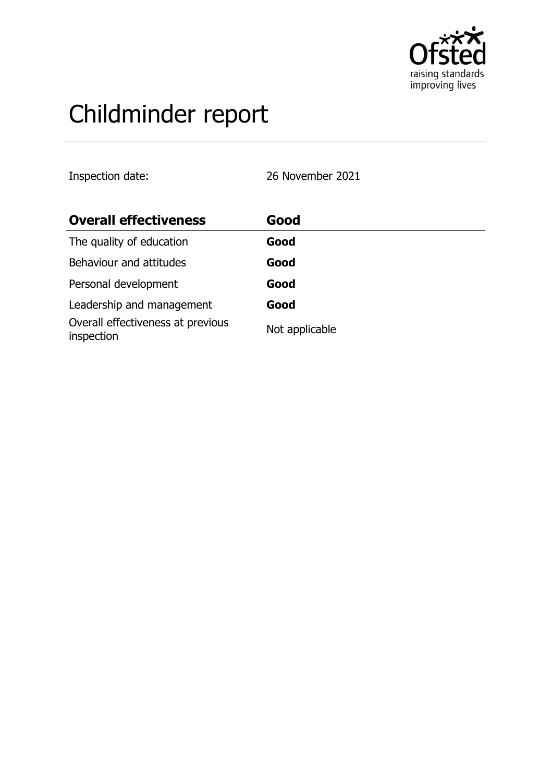

# Childminder report

Inspection date: 26 November 2021

| <b>Overall effectiveness</b>                    | Good           |
|-------------------------------------------------|----------------|
| The quality of education                        | Good           |
| Behaviour and attitudes                         | Good           |
| Personal development                            | Good           |
| Leadership and management                       | Good           |
| Overall effectiveness at previous<br>inspection | Not applicable |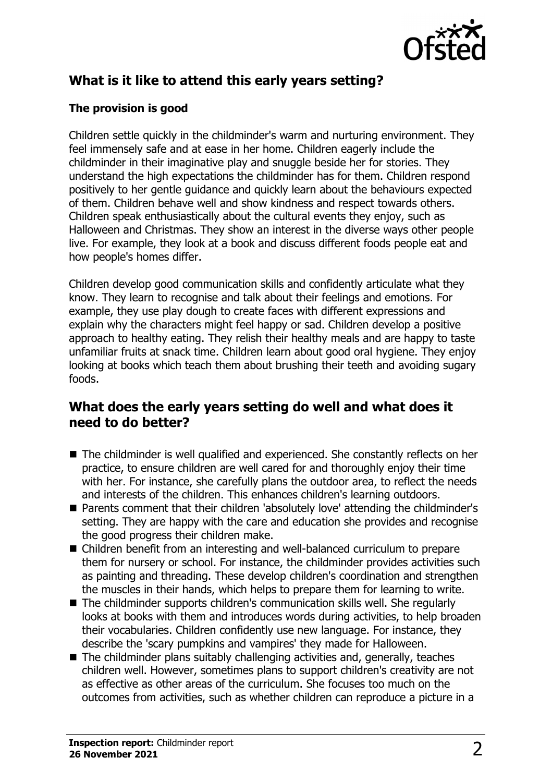

# **What is it like to attend this early years setting?**

### **The provision is good**

Children settle quickly in the childminder's warm and nurturing environment. They feel immensely safe and at ease in her home. Children eagerly include the childminder in their imaginative play and snuggle beside her for stories. They understand the high expectations the childminder has for them. Children respond positively to her gentle guidance and quickly learn about the behaviours expected of them. Children behave well and show kindness and respect towards others. Children speak enthusiastically about the cultural events they enjoy, such as Halloween and Christmas. They show an interest in the diverse ways other people live. For example, they look at a book and discuss different foods people eat and how people's homes differ.

Children develop good communication skills and confidently articulate what they know. They learn to recognise and talk about their feelings and emotions. For example, they use play dough to create faces with different expressions and explain why the characters might feel happy or sad. Children develop a positive approach to healthy eating. They relish their healthy meals and are happy to taste unfamiliar fruits at snack time. Children learn about good oral hygiene. They enjoy looking at books which teach them about brushing their teeth and avoiding sugary foods.

## **What does the early years setting do well and what does it need to do better?**

- The childminder is well qualified and experienced. She constantly reflects on her practice, to ensure children are well cared for and thoroughly enjoy their time with her. For instance, she carefully plans the outdoor area, to reflect the needs and interests of the children. This enhances children's learning outdoors.
- Parents comment that their children 'absolutely love' attending the childminder's setting. They are happy with the care and education she provides and recognise the good progress their children make.
- Children benefit from an interesting and well-balanced curriculum to prepare them for nursery or school. For instance, the childminder provides activities such as painting and threading. These develop children's coordination and strengthen the muscles in their hands, which helps to prepare them for learning to write.
- $\blacksquare$  The childminder supports children's communication skills well. She regularly looks at books with them and introduces words during activities, to help broaden their vocabularies. Children confidently use new language. For instance, they describe the 'scary pumpkins and vampires' they made for Halloween.
- $\blacksquare$  The childminder plans suitably challenging activities and, generally, teaches children well. However, sometimes plans to support children's creativity are not as effective as other areas of the curriculum. She focuses too much on the outcomes from activities, such as whether children can reproduce a picture in a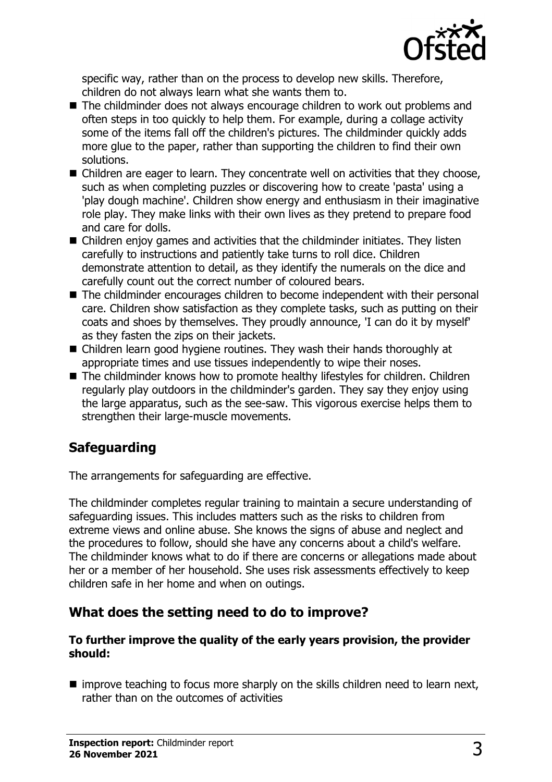

specific way, rather than on the process to develop new skills. Therefore, children do not always learn what she wants them to.

- The childminder does not always encourage children to work out problems and often steps in too quickly to help them. For example, during a collage activity some of the items fall off the children's pictures. The childminder quickly adds more glue to the paper, rather than supporting the children to find their own solutions.
- $\blacksquare$  Children are eager to learn. They concentrate well on activities that they choose, such as when completing puzzles or discovering how to create 'pasta' using a 'play dough machine'. Children show energy and enthusiasm in their imaginative role play. They make links with their own lives as they pretend to prepare food and care for dolls.
- $\blacksquare$  Children enjoy games and activities that the childminder initiates. They listen carefully to instructions and patiently take turns to roll dice. Children demonstrate attention to detail, as they identify the numerals on the dice and carefully count out the correct number of coloured bears.
- The childminder encourages children to become independent with their personal care. Children show satisfaction as they complete tasks, such as putting on their coats and shoes by themselves. They proudly announce, 'I can do it by myself' as they fasten the zips on their jackets.
- Children learn good hygiene routines. They wash their hands thoroughly at appropriate times and use tissues independently to wipe their noses.
- $\blacksquare$  The childminder knows how to promote healthy lifestyles for children. Children regularly play outdoors in the childminder's garden. They say they enjoy using the large apparatus, such as the see-saw. This vigorous exercise helps them to strengthen their large-muscle movements.

## **Safeguarding**

The arrangements for safeguarding are effective.

The childminder completes regular training to maintain a secure understanding of safeguarding issues. This includes matters such as the risks to children from extreme views and online abuse. She knows the signs of abuse and neglect and the procedures to follow, should she have any concerns about a child's welfare. The childminder knows what to do if there are concerns or allegations made about her or a member of her household. She uses risk assessments effectively to keep children safe in her home and when on outings.

## **What does the setting need to do to improve?**

#### **To further improve the quality of the early years provision, the provider should:**

 $\blacksquare$  improve teaching to focus more sharply on the skills children need to learn next, rather than on the outcomes of activities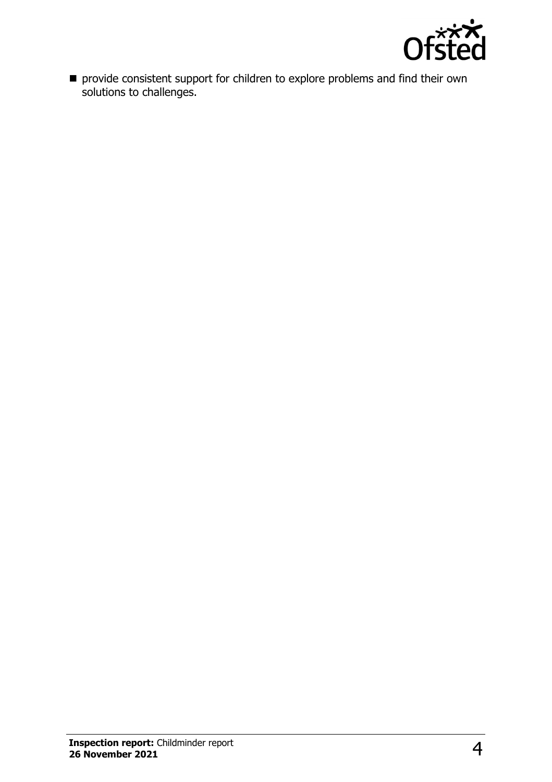

 $\blacksquare$  provide consistent support for children to explore problems and find their own solutions to challenges.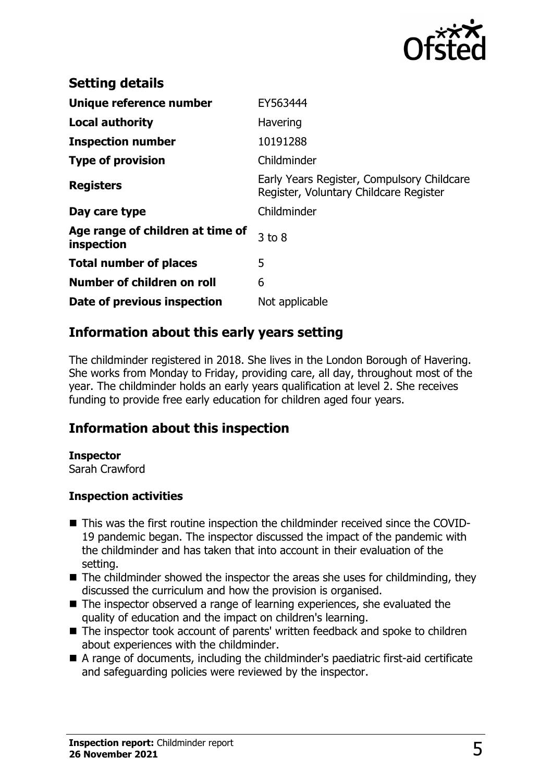

| <b>Setting details</b>                         |                                                                                      |
|------------------------------------------------|--------------------------------------------------------------------------------------|
| Unique reference number                        | EY563444                                                                             |
| <b>Local authority</b>                         | Havering                                                                             |
| <b>Inspection number</b>                       | 10191288                                                                             |
| <b>Type of provision</b>                       | Childminder                                                                          |
| <b>Registers</b>                               | Early Years Register, Compulsory Childcare<br>Register, Voluntary Childcare Register |
| Day care type                                  | Childminder                                                                          |
| Age range of children at time of<br>inspection | $3$ to $8$                                                                           |
| <b>Total number of places</b>                  | 5                                                                                    |
| Number of children on roll                     | 6                                                                                    |
| Date of previous inspection                    | Not applicable                                                                       |

## **Information about this early years setting**

The childminder registered in 2018. She lives in the London Borough of Havering. She works from Monday to Friday, providing care, all day, throughout most of the year. The childminder holds an early years qualification at level 2. She receives funding to provide free early education for children aged four years.

## **Information about this inspection**

#### **Inspector**

Sarah Crawford

#### **Inspection activities**

- This was the first routine inspection the childminder received since the COVID-19 pandemic began. The inspector discussed the impact of the pandemic with the childminder and has taken that into account in their evaluation of the setting.
- $\blacksquare$  The childminder showed the inspector the areas she uses for childminding, they discussed the curriculum and how the provision is organised.
- The inspector observed a range of learning experiences, she evaluated the quality of education and the impact on children's learning.
- The inspector took account of parents' written feedback and spoke to children about experiences with the childminder.
- $\blacksquare$  A range of documents, including the childminder's paediatric first-aid certificate and safeguarding policies were reviewed by the inspector.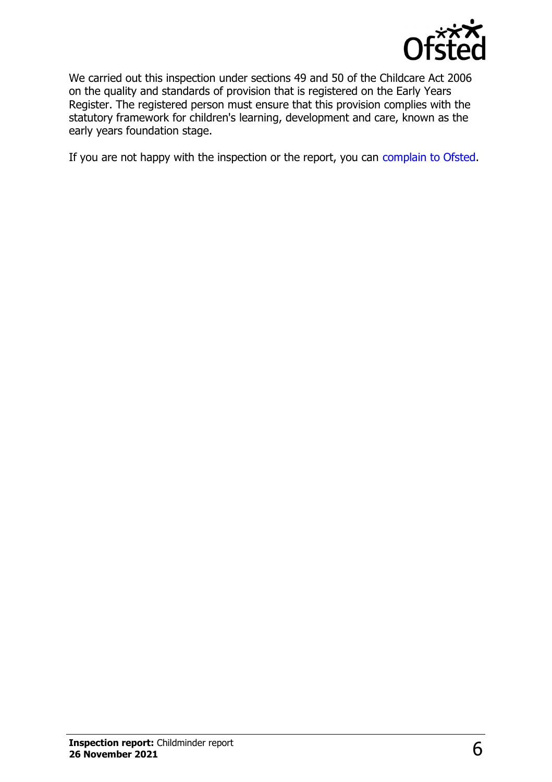

We carried out this inspection under sections 49 and 50 of the Childcare Act 2006 on the quality and standards of provision that is registered on the Early Years Register. The registered person must ensure that this provision complies with the statutory framework for children's learning, development and care, known as the early years foundation stage.

If you are not happy with the inspection or the report, you can [complain to Ofsted](http://www.gov.uk/complain-ofsted-report).